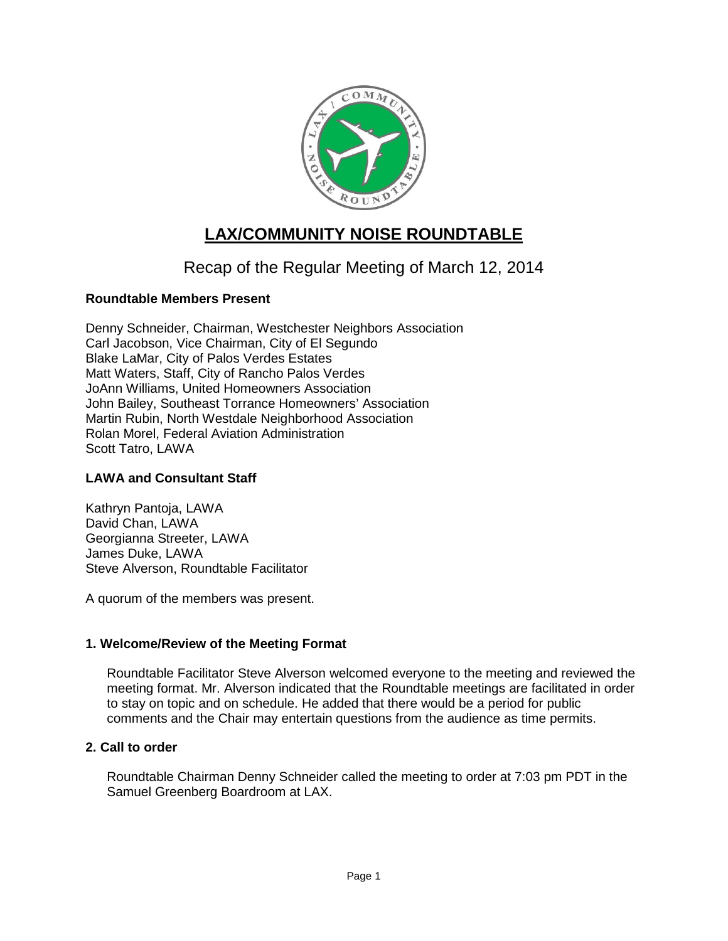

# **LAX/COMMUNITY NOISE ROUNDTABLE**

## Recap of the Regular Meeting of March 12, 2014

## **Roundtable Members Present**

Denny Schneider, Chairman, Westchester Neighbors Association Carl Jacobson, Vice Chairman, City of El Segundo Blake LaMar, City of Palos Verdes Estates Matt Waters, Staff, City of Rancho Palos Verdes JoAnn Williams, United Homeowners Association John Bailey, Southeast Torrance Homeowners' Association Martin Rubin, North Westdale Neighborhood Association Rolan Morel, Federal Aviation Administration Scott Tatro, LAWA

## **LAWA and Consultant Staff**

Kathryn Pantoja, LAWA David Chan, LAWA Georgianna Streeter, LAWA James Duke, LAWA Steve Alverson, Roundtable Facilitator

A quorum of the members was present.

## **1. Welcome/Review of the Meeting Format**

Roundtable Facilitator Steve Alverson welcomed everyone to the meeting and reviewed the meeting format. Mr. Alverson indicated that the Roundtable meetings are facilitated in order to stay on topic and on schedule. He added that there would be a period for public comments and the Chair may entertain questions from the audience as time permits.

## **2. Call to order**

Roundtable Chairman Denny Schneider called the meeting to order at 7:03 pm PDT in the Samuel Greenberg Boardroom at LAX.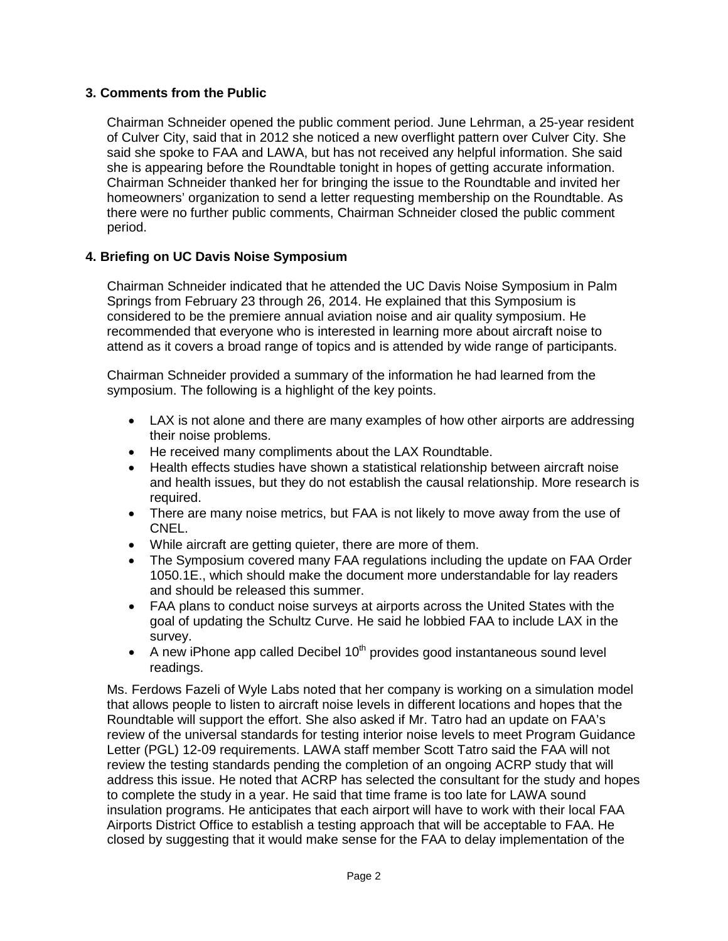## **3. Comments from the Public**

Chairman Schneider opened the public comment period. June Lehrman, a 25-year resident of Culver City, said that in 2012 she noticed a new overflight pattern over Culver City. She said she spoke to FAA and LAWA, but has not received any helpful information. She said she is appearing before the Roundtable tonight in hopes of getting accurate information. Chairman Schneider thanked her for bringing the issue to the Roundtable and invited her homeowners' organization to send a letter requesting membership on the Roundtable. As there were no further public comments, Chairman Schneider closed the public comment period.

#### **4. Briefing on UC Davis Noise Symposium**

Chairman Schneider indicated that he attended the UC Davis Noise Symposium in Palm Springs from February 23 through 26, 2014. He explained that this Symposium is considered to be the premiere annual aviation noise and air quality symposium. He recommended that everyone who is interested in learning more about aircraft noise to attend as it covers a broad range of topics and is attended by wide range of participants.

Chairman Schneider provided a summary of the information he had learned from the symposium. The following is a highlight of the key points.

- LAX is not alone and there are many examples of how other airports are addressing their noise problems.
- He received many compliments about the LAX Roundtable.
- Health effects studies have shown a statistical relationship between aircraft noise and health issues, but they do not establish the causal relationship. More research is required.
- There are many noise metrics, but FAA is not likely to move away from the use of CNEL.
- While aircraft are getting quieter, there are more of them.
- The Symposium covered many FAA regulations including the update on FAA Order 1050.1E., which should make the document more understandable for lay readers and should be released this summer.
- FAA plans to conduct noise surveys at airports across the United States with the goal of updating the Schultz Curve. He said he lobbied FAA to include LAX in the survey.
- A new iPhone app called Decibel  $10<sup>th</sup>$  provides good instantaneous sound level readings.

Ms. Ferdows Fazeli of Wyle Labs noted that her company is working on a simulation model that allows people to listen to aircraft noise levels in different locations and hopes that the Roundtable will support the effort. She also asked if Mr. Tatro had an update on FAA's review of the universal standards for testing interior noise levels to meet Program Guidance Letter (PGL) 12-09 requirements. LAWA staff member Scott Tatro said the FAA will not review the testing standards pending the completion of an ongoing ACRP study that will address this issue. He noted that ACRP has selected the consultant for the study and hopes to complete the study in a year. He said that time frame is too late for LAWA sound insulation programs. He anticipates that each airport will have to work with their local FAA Airports District Office to establish a testing approach that will be acceptable to FAA. He closed by suggesting that it would make sense for the FAA to delay implementation of the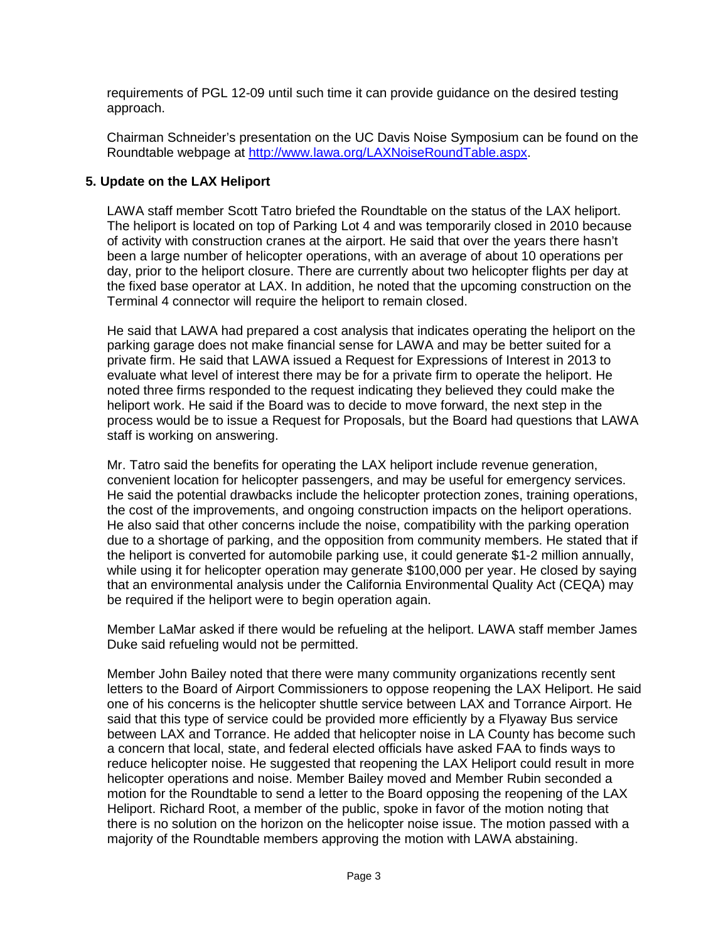requirements of PGL 12-09 until such time it can provide guidance on the desired testing approach.

Chairman Schneider's presentation on the UC Davis Noise Symposium can be found on the Roundtable webpage at [http://www.lawa.org/LAXNoiseRoundTable.aspx.](http://www.lawa.org/LAXNoiseRoundTable.aspx)

## **5. Update on the LAX Heliport**

LAWA staff member Scott Tatro briefed the Roundtable on the status of the LAX heliport. The heliport is located on top of Parking Lot 4 and was temporarily closed in 2010 because of activity with construction cranes at the airport. He said that over the years there hasn't been a large number of helicopter operations, with an average of about 10 operations per day, prior to the heliport closure. There are currently about two helicopter flights per day at the fixed base operator at LAX. In addition, he noted that the upcoming construction on the Terminal 4 connector will require the heliport to remain closed.

He said that LAWA had prepared a cost analysis that indicates operating the heliport on the parking garage does not make financial sense for LAWA and may be better suited for a private firm. He said that LAWA issued a Request for Expressions of Interest in 2013 to evaluate what level of interest there may be for a private firm to operate the heliport. He noted three firms responded to the request indicating they believed they could make the heliport work. He said if the Board was to decide to move forward, the next step in the process would be to issue a Request for Proposals, but the Board had questions that LAWA staff is working on answering.

Mr. Tatro said the benefits for operating the LAX heliport include revenue generation, convenient location for helicopter passengers, and may be useful for emergency services. He said the potential drawbacks include the helicopter protection zones, training operations, the cost of the improvements, and ongoing construction impacts on the heliport operations. He also said that other concerns include the noise, compatibility with the parking operation due to a shortage of parking, and the opposition from community members. He stated that if the heliport is converted for automobile parking use, it could generate \$1-2 million annually, while using it for helicopter operation may generate \$100,000 per year. He closed by saying that an environmental analysis under the California Environmental Quality Act (CEQA) may be required if the heliport were to begin operation again.

Member LaMar asked if there would be refueling at the heliport. LAWA staff member James Duke said refueling would not be permitted.

Member John Bailey noted that there were many community organizations recently sent letters to the Board of Airport Commissioners to oppose reopening the LAX Heliport. He said one of his concerns is the helicopter shuttle service between LAX and Torrance Airport. He said that this type of service could be provided more efficiently by a Flyaway Bus service between LAX and Torrance. He added that helicopter noise in LA County has become such a concern that local, state, and federal elected officials have asked FAA to finds ways to reduce helicopter noise. He suggested that reopening the LAX Heliport could result in more helicopter operations and noise. Member Bailey moved and Member Rubin seconded a motion for the Roundtable to send a letter to the Board opposing the reopening of the LAX Heliport. Richard Root, a member of the public, spoke in favor of the motion noting that there is no solution on the horizon on the helicopter noise issue. The motion passed with a majority of the Roundtable members approving the motion with LAWA abstaining.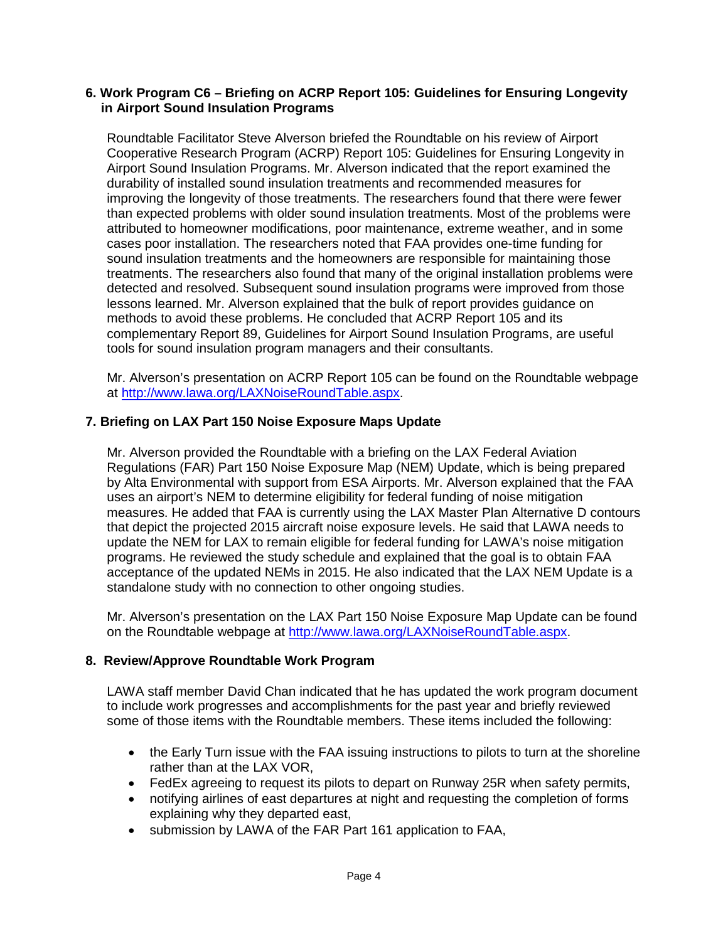#### **6. Work Program C6 – Briefing on ACRP Report 105: Guidelines for Ensuring Longevity in Airport Sound Insulation Programs**

Roundtable Facilitator Steve Alverson briefed the Roundtable on his review of Airport Cooperative Research Program (ACRP) Report 105: Guidelines for Ensuring Longevity in Airport Sound Insulation Programs. Mr. Alverson indicated that the report examined the durability of installed sound insulation treatments and recommended measures for improving the longevity of those treatments. The researchers found that there were fewer than expected problems with older sound insulation treatments. Most of the problems were attributed to homeowner modifications, poor maintenance, extreme weather, and in some cases poor installation. The researchers noted that FAA provides one-time funding for sound insulation treatments and the homeowners are responsible for maintaining those treatments. The researchers also found that many of the original installation problems were detected and resolved. Subsequent sound insulation programs were improved from those lessons learned. Mr. Alverson explained that the bulk of report provides guidance on methods to avoid these problems. He concluded that ACRP Report 105 and its complementary Report 89, Guidelines for Airport Sound Insulation Programs, are useful tools for sound insulation program managers and their consultants.

Mr. Alverson's presentation on ACRP Report 105 can be found on the Roundtable webpage at [http://www.lawa.org/LAXNoiseRoundTable.aspx.](http://www.lawa.org/LAXNoiseRoundTable.aspx)

#### **7. Briefing on LAX Part 150 Noise Exposure Maps Update**

Mr. Alverson provided the Roundtable with a briefing on the LAX Federal Aviation Regulations (FAR) Part 150 Noise Exposure Map (NEM) Update, which is being prepared by Alta Environmental with support from ESA Airports. Mr. Alverson explained that the FAA uses an airport's NEM to determine eligibility for federal funding of noise mitigation measures. He added that FAA is currently using the LAX Master Plan Alternative D contours that depict the projected 2015 aircraft noise exposure levels. He said that LAWA needs to update the NEM for LAX to remain eligible for federal funding for LAWA's noise mitigation programs. He reviewed the study schedule and explained that the goal is to obtain FAA acceptance of the updated NEMs in 2015. He also indicated that the LAX NEM Update is a standalone study with no connection to other ongoing studies.

Mr. Alverson's presentation on the LAX Part 150 Noise Exposure Map Update can be found on the Roundtable webpage at [http://www.lawa.org/LAXNoiseRoundTable.aspx.](http://www.lawa.org/LAXNoiseRoundTable.aspx)

#### **8. Review/Approve Roundtable Work Program**

LAWA staff member David Chan indicated that he has updated the work program document to include work progresses and accomplishments for the past year and briefly reviewed some of those items with the Roundtable members. These items included the following:

- the Early Turn issue with the FAA issuing instructions to pilots to turn at the shoreline rather than at the LAX VOR,
- FedEx agreeing to request its pilots to depart on Runway 25R when safety permits,
- notifying airlines of east departures at night and requesting the completion of forms explaining why they departed east,
- submission by LAWA of the FAR Part 161 application to FAA,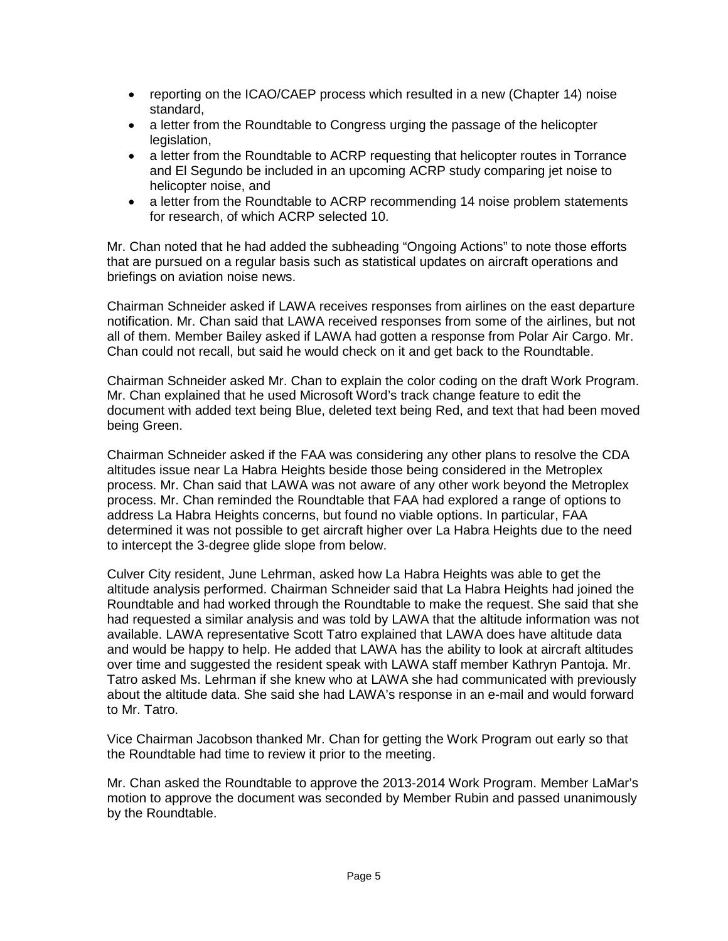- reporting on the ICAO/CAEP process which resulted in a new (Chapter 14) noise standard,
- a letter from the Roundtable to Congress urging the passage of the helicopter legislation.
- a letter from the Roundtable to ACRP requesting that helicopter routes in Torrance and El Segundo be included in an upcoming ACRP study comparing jet noise to helicopter noise, and
- a letter from the Roundtable to ACRP recommending 14 noise problem statements for research, of which ACRP selected 10.

Mr. Chan noted that he had added the subheading "Ongoing Actions" to note those efforts that are pursued on a regular basis such as statistical updates on aircraft operations and briefings on aviation noise news.

Chairman Schneider asked if LAWA receives responses from airlines on the east departure notification. Mr. Chan said that LAWA received responses from some of the airlines, but not all of them. Member Bailey asked if LAWA had gotten a response from Polar Air Cargo. Mr. Chan could not recall, but said he would check on it and get back to the Roundtable.

Chairman Schneider asked Mr. Chan to explain the color coding on the draft Work Program. Mr. Chan explained that he used Microsoft Word's track change feature to edit the document with added text being Blue, deleted text being Red, and text that had been moved being Green.

Chairman Schneider asked if the FAA was considering any other plans to resolve the CDA altitudes issue near La Habra Heights beside those being considered in the Metroplex process. Mr. Chan said that LAWA was not aware of any other work beyond the Metroplex process. Mr. Chan reminded the Roundtable that FAA had explored a range of options to address La Habra Heights concerns, but found no viable options. In particular, FAA determined it was not possible to get aircraft higher over La Habra Heights due to the need to intercept the 3-degree glide slope from below.

Culver City resident, June Lehrman, asked how La Habra Heights was able to get the altitude analysis performed. Chairman Schneider said that La Habra Heights had joined the Roundtable and had worked through the Roundtable to make the request. She said that she had requested a similar analysis and was told by LAWA that the altitude information was not available. LAWA representative Scott Tatro explained that LAWA does have altitude data and would be happy to help. He added that LAWA has the ability to look at aircraft altitudes over time and suggested the resident speak with LAWA staff member Kathryn Pantoja. Mr. Tatro asked Ms. Lehrman if she knew who at LAWA she had communicated with previously about the altitude data. She said she had LAWA's response in an e-mail and would forward to Mr. Tatro.

Vice Chairman Jacobson thanked Mr. Chan for getting the Work Program out early so that the Roundtable had time to review it prior to the meeting.

Mr. Chan asked the Roundtable to approve the 2013-2014 Work Program. Member LaMar's motion to approve the document was seconded by Member Rubin and passed unanimously by the Roundtable.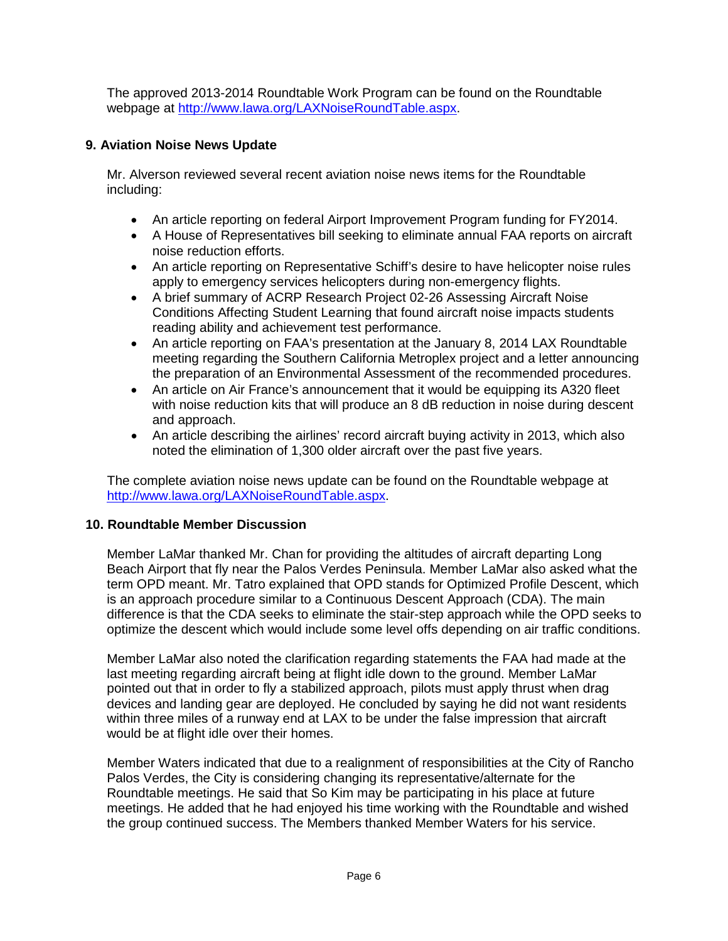The approved 2013-2014 Roundtable Work Program can be found on the Roundtable webpage at [http://www.lawa.org/LAXNoiseRoundTable.aspx.](http://www.lawa.org/LAXNoiseRoundTable.aspx)

## **9. Aviation Noise News Update**

Mr. Alverson reviewed several recent aviation noise news items for the Roundtable including:

- An article reporting on federal Airport Improvement Program funding for FY2014.
- A House of Representatives bill seeking to eliminate annual FAA reports on aircraft noise reduction efforts.
- An article reporting on Representative Schiff's desire to have helicopter noise rules apply to emergency services helicopters during non-emergency flights.
- A brief summary of ACRP Research Project 02-26 Assessing Aircraft Noise Conditions Affecting Student Learning that found aircraft noise impacts students reading ability and achievement test performance.
- An article reporting on FAA's presentation at the January 8, 2014 LAX Roundtable meeting regarding the Southern California Metroplex project and a letter announcing the preparation of an Environmental Assessment of the recommended procedures.
- An article on Air France's announcement that it would be equipping its A320 fleet with noise reduction kits that will produce an 8 dB reduction in noise during descent and approach.
- An article describing the airlines' record aircraft buying activity in 2013, which also noted the elimination of 1,300 older aircraft over the past five years.

The complete aviation noise news update can be found on the Roundtable webpage at [http://www.lawa.org/LAXNoiseRoundTable.aspx.](http://www.lawa.org/LAXNoiseRoundTable.aspx)

#### **10. Roundtable Member Discussion**

Member LaMar thanked Mr. Chan for providing the altitudes of aircraft departing Long Beach Airport that fly near the Palos Verdes Peninsula. Member LaMar also asked what the term OPD meant. Mr. Tatro explained that OPD stands for Optimized Profile Descent, which is an approach procedure similar to a Continuous Descent Approach (CDA). The main difference is that the CDA seeks to eliminate the stair-step approach while the OPD seeks to optimize the descent which would include some level offs depending on air traffic conditions.

Member LaMar also noted the clarification regarding statements the FAA had made at the last meeting regarding aircraft being at flight idle down to the ground. Member LaMar pointed out that in order to fly a stabilized approach, pilots must apply thrust when drag devices and landing gear are deployed. He concluded by saying he did not want residents within three miles of a runway end at LAX to be under the false impression that aircraft would be at flight idle over their homes.

Member Waters indicated that due to a realignment of responsibilities at the City of Rancho Palos Verdes, the City is considering changing its representative/alternate for the Roundtable meetings. He said that So Kim may be participating in his place at future meetings. He added that he had enjoyed his time working with the Roundtable and wished the group continued success. The Members thanked Member Waters for his service.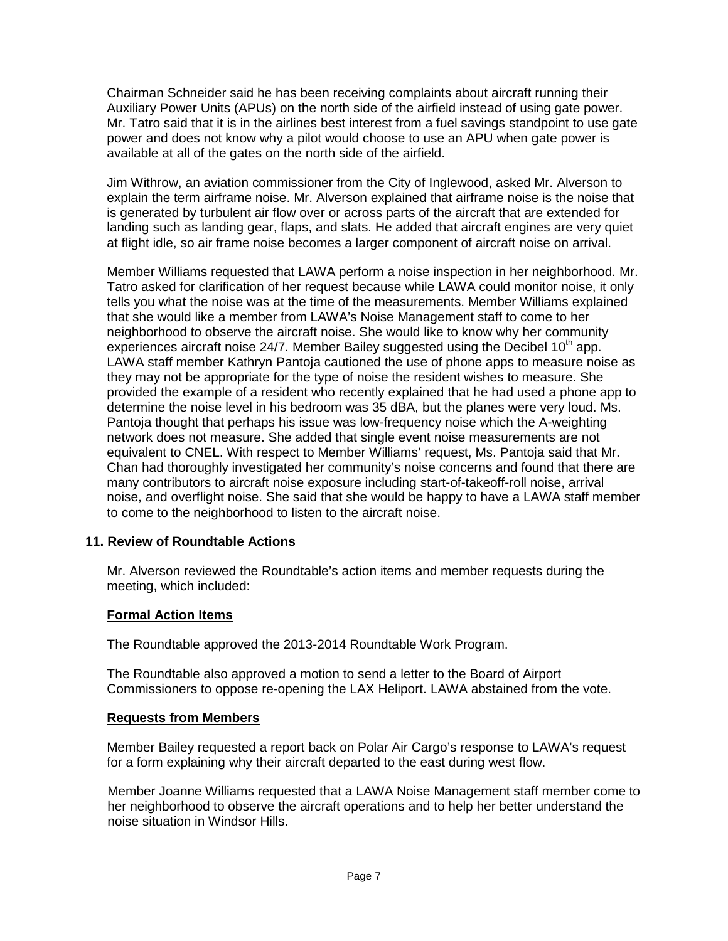Chairman Schneider said he has been receiving complaints about aircraft running their Auxiliary Power Units (APUs) on the north side of the airfield instead of using gate power. Mr. Tatro said that it is in the airlines best interest from a fuel savings standpoint to use gate power and does not know why a pilot would choose to use an APU when gate power is available at all of the gates on the north side of the airfield.

Jim Withrow, an aviation commissioner from the City of Inglewood, asked Mr. Alverson to explain the term airframe noise. Mr. Alverson explained that airframe noise is the noise that is generated by turbulent air flow over or across parts of the aircraft that are extended for landing such as landing gear, flaps, and slats. He added that aircraft engines are very quiet at flight idle, so air frame noise becomes a larger component of aircraft noise on arrival.

Member Williams requested that LAWA perform a noise inspection in her neighborhood. Mr. Tatro asked for clarification of her request because while LAWA could monitor noise, it only tells you what the noise was at the time of the measurements. Member Williams explained that she would like a member from LAWA's Noise Management staff to come to her neighborhood to observe the aircraft noise. She would like to know why her community experiences aircraft noise  $24/7$ . Member Bailey suggested using the Decibel 10<sup>th</sup> app. LAWA staff member Kathryn Pantoja cautioned the use of phone apps to measure noise as they may not be appropriate for the type of noise the resident wishes to measure. She provided the example of a resident who recently explained that he had used a phone app to determine the noise level in his bedroom was 35 dBA, but the planes were very loud. Ms. Pantoja thought that perhaps his issue was low-frequency noise which the A-weighting network does not measure. She added that single event noise measurements are not equivalent to CNEL. With respect to Member Williams' request, Ms. Pantoja said that Mr. Chan had thoroughly investigated her community's noise concerns and found that there are many contributors to aircraft noise exposure including start-of-takeoff-roll noise, arrival noise, and overflight noise. She said that she would be happy to have a LAWA staff member to come to the neighborhood to listen to the aircraft noise.

## **11. Review of Roundtable Actions**

Mr. Alverson reviewed the Roundtable's action items and member requests during the meeting, which included:

#### **Formal Action Items**

The Roundtable approved the 2013-2014 Roundtable Work Program.

The Roundtable also approved a motion to send a letter to the Board of Airport Commissioners to oppose re-opening the LAX Heliport. LAWA abstained from the vote.

#### **Requests from Members**

Member Bailey requested a report back on Polar Air Cargo's response to LAWA's request for a form explaining why their aircraft departed to the east during west flow.

 Member Joanne Williams requested that a LAWA Noise Management staff member come to her neighborhood to observe the aircraft operations and to help her better understand the noise situation in Windsor Hills.